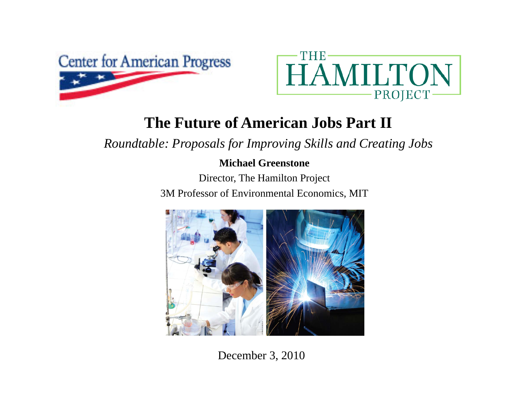



#### **The Future of American Jobs Part II**

*Roundtable: Proposals for Improving Skills and Creating Jobs*

#### **Michael Greenstone**

Director, The Hamilton Project 3M Professor of Environmental Economics, MIT



December 3, 2010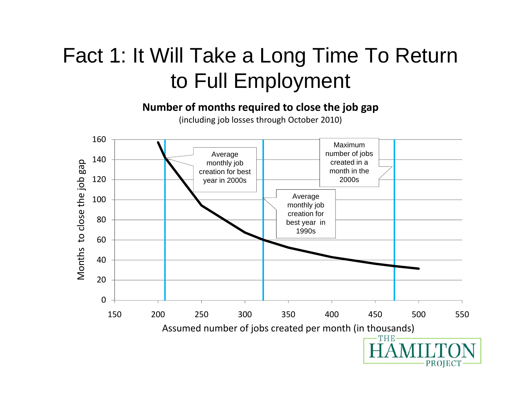# Fact 1: It Will Take a Long Time To Return to Full Employment

**Number of months required to close the job gap**

(including job losses through October 2010)

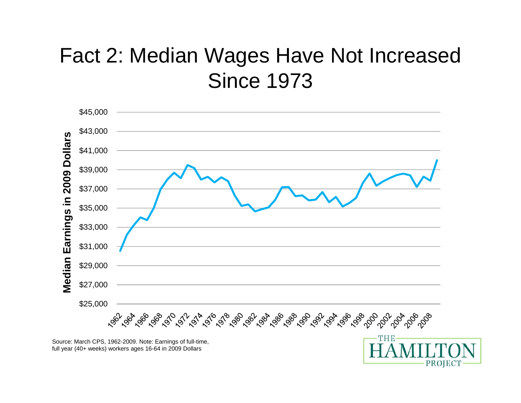# Fact 2: Median Wages Have Not Increased **Since 1973**



Source: March CPS, 1962-2009. Note: Earnings of full-time, full year (40+ weeks) workers ages 16-64 in 2009 Dollars

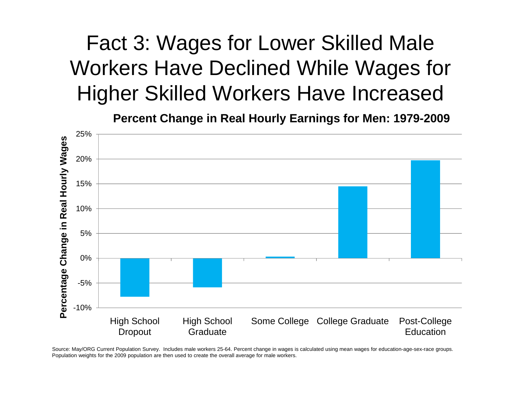# Fact 3: Wages for Lower Skilled Male Workers Have Declined While Wages for Higher Skilled Workers Have Increased

**Percent Change in Real Hourly Earnings for Men: 1979-2009**



Source: May/ORG Current Population Survey. Includes male workers 25-64. Percent change in wages is calculated using mean wages for education-age-sex-race groups. Population weights for the 2009 population are then used to create the overall average for male workers.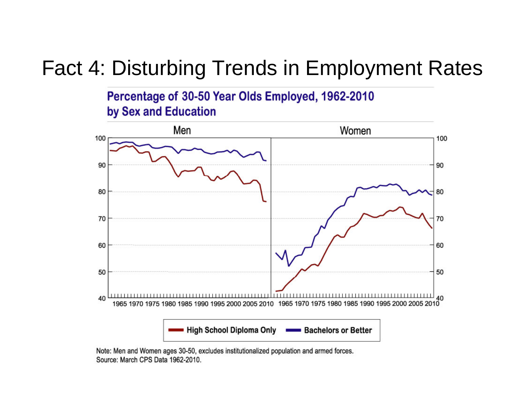## Fact 4: Disturbing Trends in Employment Rates

Percentage of 30-50 Year Olds Employed, 1962-2010 by Sex and Education



Note: Men and Women ages 30-50, excludes institutionalized population and armed forces. Source: March CPS Data 1962-2010.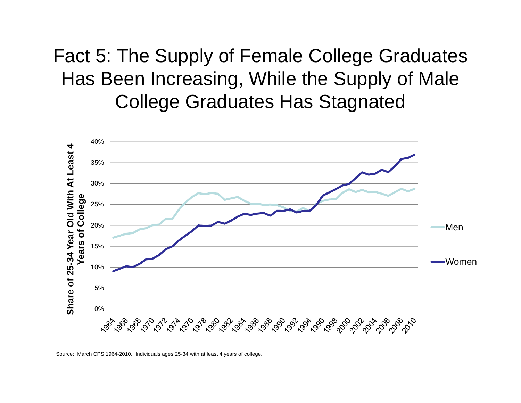Fact 5: The Supply of Female College Graduates Has Been Increasing, While the Supply of Male College Graduates Has Stagnated



Source: March CPS 1964-2010. Individuals ages 25-34 with at least 4 years of college.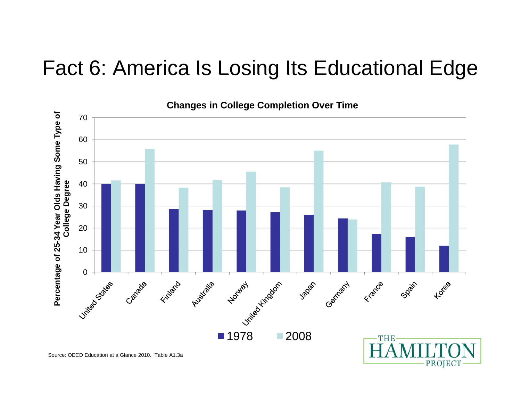### Fact 6: America Is Losing Its Educational Edge